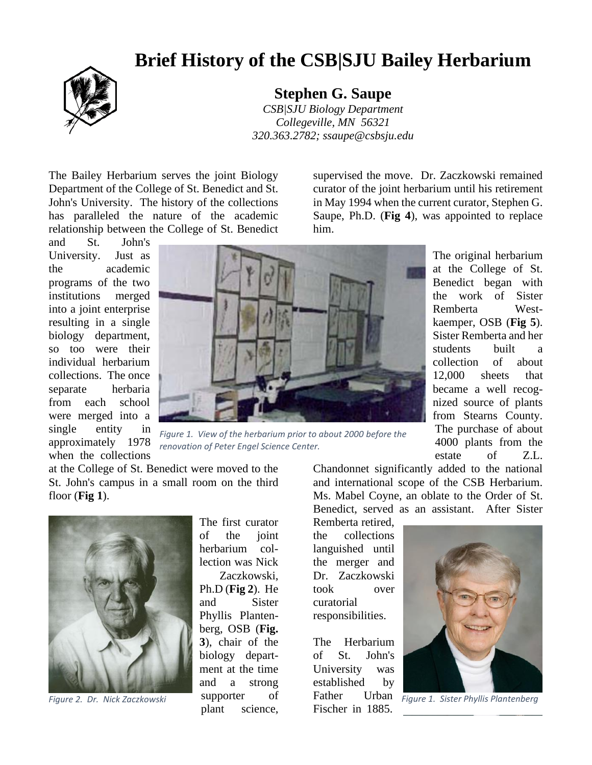## **Brief History of the CSB|SJU Bailey Herbarium**



**Stephen G. Saupe**

*CSB|SJU Biology Department Collegeville, MN 56321 320.363.2782; ssaupe@csbsju.edu*

The Bailey Herbarium serves the joint Biology Department of the College of St. Benedict and St. John's University. The history of the collections has paralleled the nature of the academic relationship between the College of St. Benedict

and St. John's University. Just as the academic programs of the two institutions merged into a joint enterprise resulting in a single biology department, so too were their individual herbarium collections. The once separate herbaria from each school were merged into a single entity in approximately 1978 when the collections



*Figure 1. View of the herbarium prior to about 2000 before the renovation of Peter Engel Science Center.*

at the College of St. Benedict were moved to the St. John's campus in a small room on the third floor (**Fig 1**).



The first curator of the joint herbarium collection was Nick

Zaczkowski, Ph.D (**Fig 2**). He and Sister Phyllis Plantenberg, OSB (**Fig. 3**), chair of the biology department at the time and a strong supporter of plant science,

supervised the move. Dr. Zaczkowski remained curator of the joint herbarium until his retirement in May 1994 when the current curator, Stephen G. Saupe, Ph.D. (**Fig 4**), was appointed to replace him.

> The original herbarium at the College of St. Benedict began with the work of Sister Remberta Westkaemper, OSB (**Fig 5**). Sister Remberta and her students built a collection of about 12,000 sheets that became a well recognized source of plants from Stearns County. The purchase of about 4000 plants from the estate of Z.L.

Chandonnet significantly added to the national and international scope of the CSB Herbarium. Ms. Mabel Coyne, an oblate to the Order of St. Benedict, served as an assistant. After Sister

Remberta retired, the collections languished until the merger and Dr. Zaczkowski took over curatorial responsibilities.

The Herbarium of St. John's University was established by Father Urban Fischer in 1885.



*Figure 2. Dr. Nick Zaczkowski Figure 1. Sister Phyllis Plantenberg*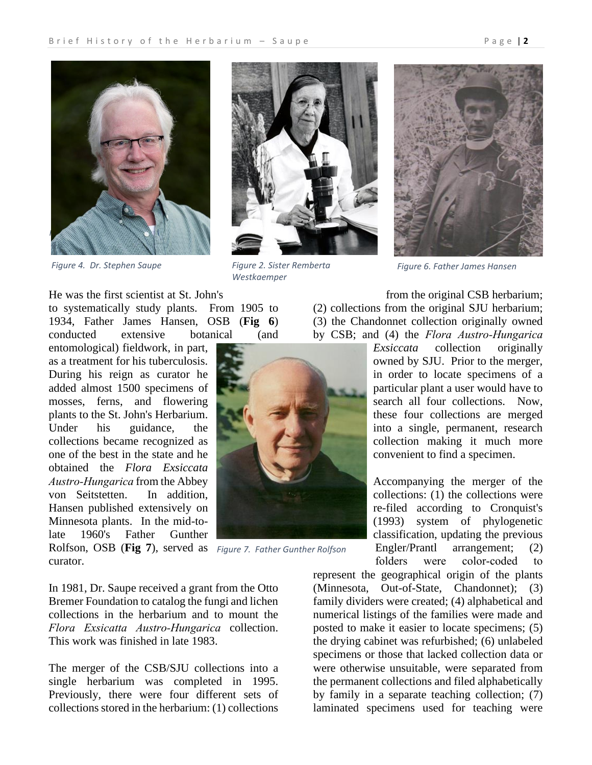

*Figure 4. Dr. Stephen Saupe Figure 2. Sister Remberta* 

He was the first scientist at St. John's

to systematically study plants. From 1905 to 1934, Father James Hansen, OSB (**Fig 6**) conducted extensive botanical (and

entomological) fieldwork, in part, as a treatment for his tuberculosis. During his reign as curator he added almost 1500 specimens of mosses, ferns, and flowering plants to the St. John's Herbarium. Under his guidance, the collections became recognized as one of the best in the state and he obtained the *Flora Exsiccata Austro‑Hungarica* from the Abbey von Seitstetten. In addition, Hansen published extensively on Minnesota plants. In the mid-tolate 1960's Father Gunther Rolfson, OSB (**Fig 7**), served as *Figure 7. Father Gunther Rolfson*curator.

In 1981, Dr. Saupe received a grant from the Otto Bremer Foundation to catalog the fungi and lichen collections in the herbarium and to mount the *Flora Exsicatta Austro‑Hungarica* collection. This work was finished in late 1983.

The merger of the CSB/SJU collections into a single herbarium was completed in 1995. Previously, there were four different sets of collections stored in the herbarium: (1) collections



*Westkaemper*



*Figure 6. Father James Hansen*

from the original CSB herbarium; (2) collections from the original SJU herbarium; (3) the Chandonnet collection originally owned by CSB; and (4) the *Flora Austro-Hungarica* 

> *Exsiccata* collection originally owned by SJU. Prior to the merger, in order to locate specimens of a particular plant a user would have to search all four collections. Now, these four collections are merged into a single, permanent, research collection making it much more convenient to find a specimen.

> Accompanying the merger of the collections: (1) the collections were re-filed according to Cronquist's (1993) system of phylogenetic classification, updating the previous Engler/Prantl arrangement; (2) folders were color-coded to

represent the geographical origin of the plants (Minnesota, Out-of-State, Chandonnet); (3) family dividers were created; (4) alphabetical and numerical listings of the families were made and posted to make it easier to locate specimens; (5) the drying cabinet was refurbished; (6) unlabeled specimens or those that lacked collection data or were otherwise unsuitable, were separated from the permanent collections and filed alphabetically by family in a separate teaching collection; (7) laminated specimens used for teaching were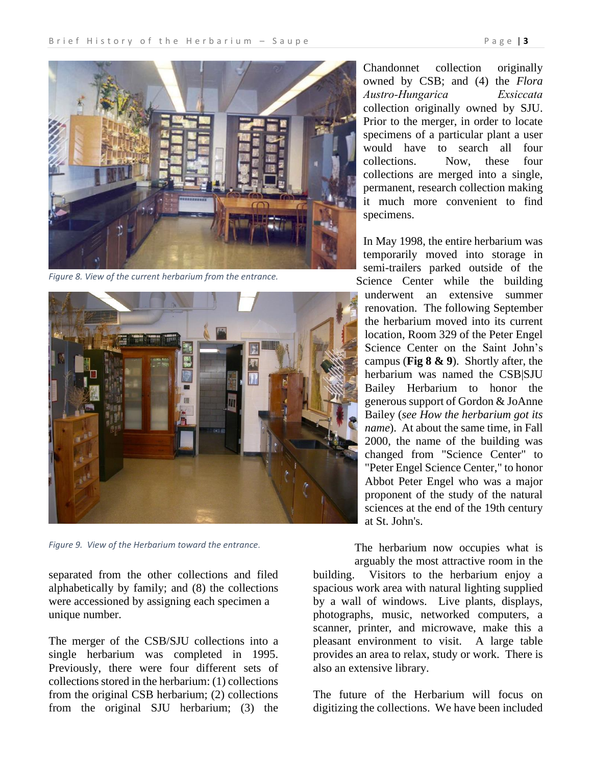

*Figure 8. View of the current herbarium from the entrance.*



*Figure 9. View of the Herbarium toward the entrance.*

separated from the other collections and filed alphabetically by family; and (8) the collections were accessioned by assigning each specimen a unique number.

The merger of the CSB/SJU collections into a single herbarium was completed in 1995. Previously, there were four different sets of collections stored in the herbarium: (1) collections from the original CSB herbarium; (2) collections from the original SJU herbarium; (3) the

Chandonnet collection originally owned by CSB; and (4) the *Flora Austro‑Hungarica Exsiccata* collection originally owned by SJU. Prior to the merger, in order to locate specimens of a particular plant a user would have to search all four collections. Now, these four collections are merged into a single, permanent, research collection making it much more convenient to find specimens.

In May 1998, the entire herbarium was temporarily moved into storage in semi-trailers parked outside of the Science Center while the building underwent an extensive summer renovation. The following September the herbarium moved into its current location, Room 329 of the Peter Engel Science Center on the Saint John's campus (**Fig 8 & 9**). Shortly after, the herbarium was named the CSB|SJU Bailey Herbarium to honor the generous support of Gordon & JoAnne Bailey (*see How the herbarium got its name*). At about the same time, in Fall 2000, the name of the building was changed from "Science Center" to "Peter Engel Science Center," to honor Abbot Peter Engel who was a major proponent of the study of the natural sciences at the end of the 19th century at St. John's.

The herbarium now occupies what is

arguably the most attractive room in the<br>building. Visitors to the herbarium eniov a Visitors to the herbarium enjoy a spacious work area with natural lighting supplied by a wall of windows. Live plants, displays, photographs, music, networked computers, a scanner, printer, and microwave, make this a pleasant environment to visit. A large table provides an area to relax, study or work. There is also an extensive library.

The future of the Herbarium will focus on digitizing the collections. We have been included